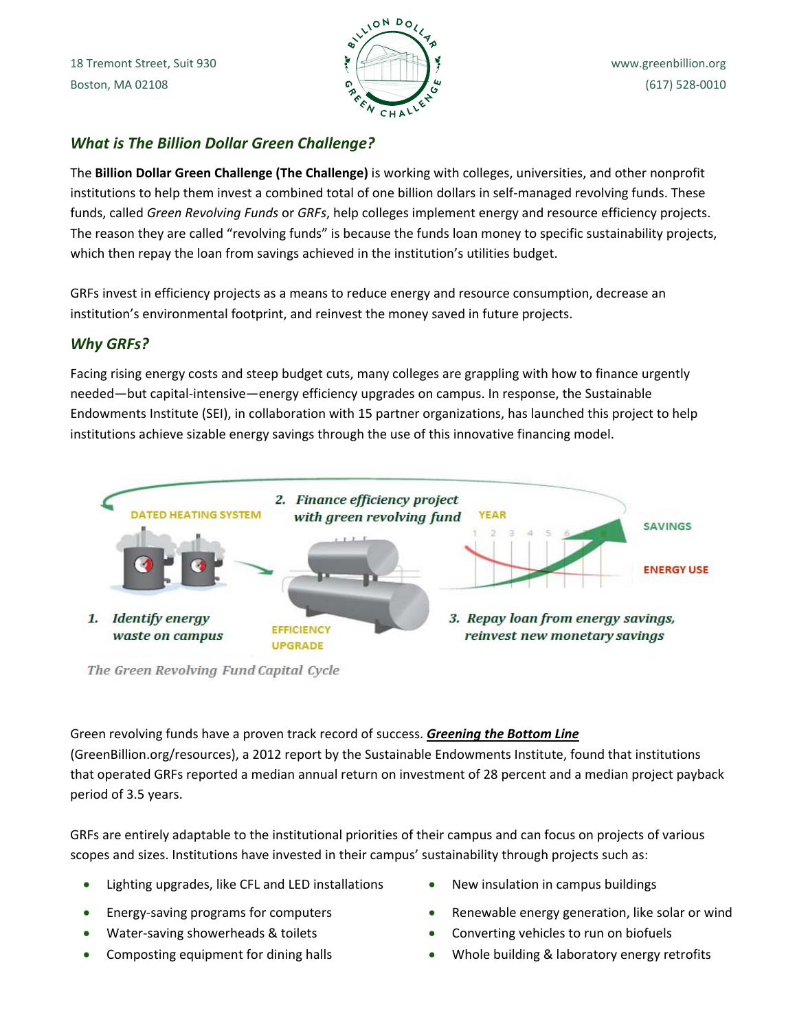

# *What is The Billion Dollar Green Challenge?*

The **Billion Dollar Green Challenge (The Challenge)** is working with colleges, universities, and other nonprofit institutions to help them invest a combined total of one billion dollars in self‐managed revolving funds. These funds, called *Green Revolving Funds* or *GRFs*, help colleges implement energy and resource efficiency projects. The reason they are called "revolving funds" is because the funds loan money to specific sustainability projects, which then repay the loan from savings achieved in the institution's utilities budget.

GRFs invest in efficiency projects as a means to reduce energy and resource consumption, decrease an institution's environmental footprint, and reinvest the money saved in future projects.

# *Why GRFs?*

Facing rising energy costs and steep budget cuts, many colleges are grappling with how to finance urgently needed—but capital‐intensive—energy efficiency upgrades on campus. In response, the Sustainable Endowments Institute (SEI), in collaboration with 15 partner organizations, has launched this project to help institutions achieve sizable energy savings through the use of this innovative financing model.



The Green Revolving Fund Capital Cycle

Green revolving funds have a proven track record of success. *Greening the Bottom Line* (GreenBillion.org/resources), a 2012 report by the Sustainable Endowments Institute, found that institutions that operated GRFs reported a median annual return on investment of 28 percent and a median project payback period of 3.5 years.

GRFs are entirely adaptable to the institutional priorities of their campus and can focus on projects of various scopes and sizes. Institutions have invested in their campus' sustainability through projects such as:

- Lighting upgrades, like CFL and LED installations New insulation in campus buildings
- 
- 
- 
- 
- Energy-saving programs for computers **Energy** energy generation, like solar or wind
- Water-saving showerheads & toilets Converting vehicles to run on biofuels
- Composting equipment for dining halls **•** Whole building & laboratory energy retrofits